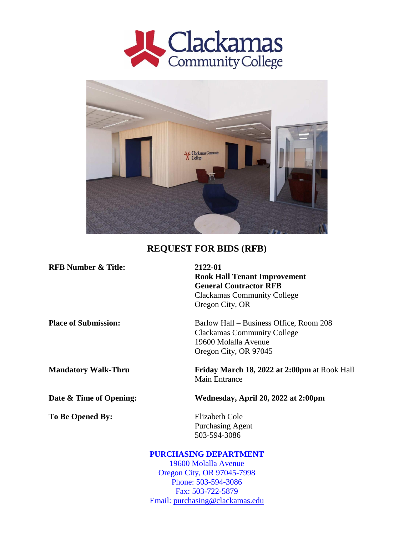



# **REQUEST FOR BIDS (RFB)**

| <b>RFB Number &amp; Title:</b> | 2122-01<br><b>Rook Hall Tenant Improvement</b><br><b>General Contractor RFB</b><br><b>Clackamas Community College</b><br>Oregon City, OR |
|--------------------------------|------------------------------------------------------------------------------------------------------------------------------------------|
| <b>Place of Submission:</b>    | Barlow Hall – Business Office, Room 208<br><b>Clackamas Community College</b><br>19600 Molalla Avenue<br>Oregon City, OR 97045           |
| <b>Mandatory Walk-Thru</b>     | <b>Friday March 18, 2022 at 2:00pm at Rook Hall</b><br><b>Main Entrance</b>                                                              |
| Date & Time of Opening:        | Wednesday, April 20, 2022 at 2:00pm                                                                                                      |
| To Be Opened By:               | Elizabeth Cole<br><b>Purchasing Agent</b><br>503-594-3086                                                                                |

## **PURCHASING DEPARTMENT**

19600 Molalla Avenue Oregon City, OR 97045-7998 Phone: 503-594-3086 Fax: 503-722-5879 Email: [purchasing@clackamas.edu](mailto:elizabethc@clackamas.edu)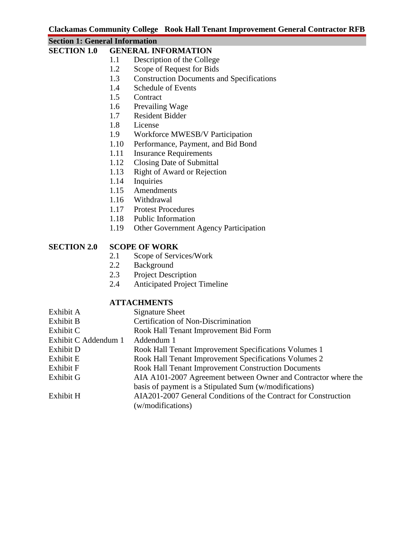### **Clackamas Community College Rook Hall Tenant Improvement General Contractor RFB**

### **Section 1: General Information**

#### **SECTION 1.0 GENERAL INFORMATION**

- 1.1 Description of the College
- 1.2 Scope of Request for Bids
- 1.3 Construction Documents and Specifications
- 1.4 Schedule of Events
- 1.5 Contract
- 1.6 Prevailing Wage
- 1.7 Resident Bidder
- 1.8 License
- 1.9 Workforce MWESB/V Participation
- 1.10 Performance, Payment, and Bid Bond
- 1.11 Insurance Requirements
- 1.12 Closing Date of Submittal
- 1.13 Right of Award or Rejection
- 1.14 Inquiries
- 1.15 Amendments
- 1.16 Withdrawal
- 1.17 Protest Procedures
- 1.18 Public Information
- 1.19 Other Government Agency Participation

### **SECTION 2.0 SCOPE OF WORK**

- 2.1 Scope of Services/Work
- 2.2 Background
- 2.3 Project Description
- 2.4 Anticipated Project Timeline

## **ATTACHMENTS**

| Exhibit A            | <b>Signature Sheet</b>                                          |
|----------------------|-----------------------------------------------------------------|
| Exhibit B            | Certification of Non-Discrimination                             |
| Exhibit C            | Rook Hall Tenant Improvement Bid Form                           |
| Exhibit C Addendum 1 | Addendum 1                                                      |
| Exhibit D            | Rook Hall Tenant Improvement Specifications Volumes 1           |
| Exhibit E            | Rook Hall Tenant Improvement Specifications Volumes 2           |
| Exhibit F            | <b>Rook Hall Tenant Improvement Construction Documents</b>      |
| Exhibit G            | AIA A101-2007 Agreement between Owner and Contractor where the  |
|                      | basis of payment is a Stipulated Sum (w/modifications)          |
| Exhibit H            | AIA201-2007 General Conditions of the Contract for Construction |
|                      | (w/modifications)                                               |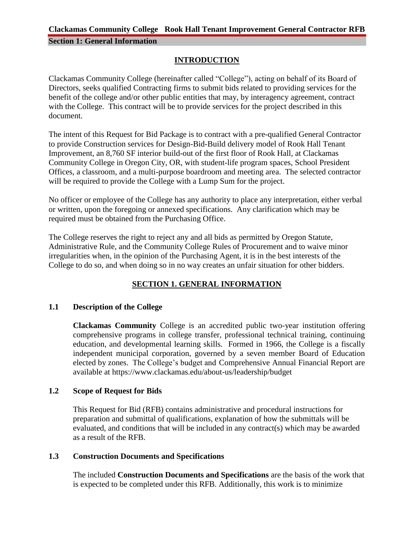# **INTRODUCTION**

Clackamas Community College (hereinafter called "College"), acting on behalf of its Board of Directors, seeks qualified Contracting firms to submit bids related to providing services for the benefit of the college and/or other public entities that may, by interagency agreement, contract with the College. This contract will be to provide services for the project described in this document.

The intent of this Request for Bid Package is to contract with a pre-qualified General Contractor to provide Construction services for Design-Bid-Build delivery model of Rook Hall Tenant Improvement, an 8,760 SF interior build-out of the first floor of Rook Hall, at Clackamas Community College in Oregon City, OR, with student-life program spaces, School President Offices, a classroom, and a multi-purpose boardroom and meeting area. The selected contractor will be required to provide the College with a Lump Sum for the project.

No officer or employee of the College has any authority to place any interpretation, either verbal or written, upon the foregoing or annexed specifications. Any clarification which may be required must be obtained from the Purchasing Office.

The College reserves the right to reject any and all bids as permitted by Oregon Statute, Administrative Rule, and the Community College Rules of Procurement and to waive minor irregularities when, in the opinion of the Purchasing Agent, it is in the best interests of the College to do so, and when doing so in no way creates an unfair situation for other bidders.

# **SECTION 1. GENERAL INFORMATION**

## **1.1 Description of the College**

**Clackamas Community** College is an accredited public two-year institution offering comprehensive programs in college transfer, professional technical training, continuing education, and developmental learning skills. Formed in 1966, the College is a fiscally independent municipal corporation, governed by a seven member Board of Education elected by zones. The College's budget and Comprehensive Annual Financial Report are available at https://www.clackamas.edu/about-us/leadership/budget

## **1.2 Scope of Request for Bids**

This Request for Bid (RFB) contains administrative and procedural instructions for preparation and submittal of qualifications, explanation of how the submittals will be evaluated, and conditions that will be included in any contract(s) which may be awarded as a result of the RFB.

## **1.3 Construction Documents and Specifications**

The included **Construction Documents and Specifications** are the basis of the work that is expected to be completed under this RFB. Additionally, this work is to minimize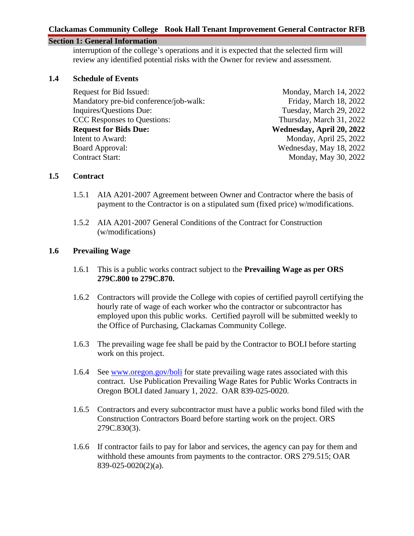## **Clackamas Community College Rook Hall Tenant Improvement General Contractor RFB**

## **Section 1: General Information**

interruption of the college's operations and it is expected that the selected firm will review any identified potential risks with the Owner for review and assessment.

### **1.4 Schedule of Events**

| Request for Bid Issued:                | Monday, March 14, 2022    |
|----------------------------------------|---------------------------|
| Mandatory pre-bid conference/job-walk: | Friday, March 18, 2022    |
| Inquires/Questions Due:                | Tuesday, March 29, 2022   |
| <b>CCC</b> Responses to Questions:     | Thursday, March 31, 2022  |
| <b>Request for Bids Due:</b>           | Wednesday, April 20, 2022 |
| Intent to Award:                       | Monday, April 25, 2022    |
| Board Approval:                        | Wednesday, May 18, 2022   |
| <b>Contract Start:</b>                 | Monday, May 30, 2022      |

#### **1.5 Contract**

- 1.5.1 AIA A201-2007 Agreement between Owner and Contractor where the basis of payment to the Contractor is on a stipulated sum (fixed price) w/modifications.
- 1.5.2 AIA A201-2007 General Conditions of the Contract for Construction (w/modifications)

### **1.6 Prevailing Wage**

- 1.6.1 This is a public works contract subject to the **Prevailing Wage as per ORS 279C.800 to 279C.870.**
- 1.6.2 Contractors will provide the College with copies of certified payroll certifying the hourly rate of wage of each worker who the contractor or subcontractor has employed upon this public works. Certified payroll will be submitted weekly to the Office of Purchasing, Clackamas Community College.
- 1.6.3 The prevailing wage fee shall be paid by the Contractor to BOLI before starting work on this project.
- 1.6.4 See [www.oregon.gov/boli](http://www.oregon.gov/boli) for state prevailing wage rates associated with this contract. Use Publication Prevailing Wage Rates for Public Works Contracts in Oregon BOLI dated January 1, 2022. OAR 839-025-0020.
- 1.6.5 Contractors and every subcontractor must have a public works bond filed with the Construction Contractors Board before starting work on the project. ORS 279C.830(3).
- 1.6.6 If contractor fails to pay for labor and services, the agency can pay for them and withhold these amounts from payments to the contractor. ORS 279.515; OAR 839-025-0020(2)(a).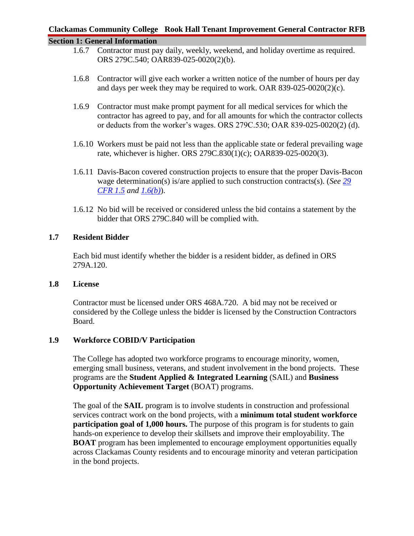### 1.6.7 Contractor must pay daily, weekly, weekend, and holiday overtime as required. ORS 279C.540; OAR839-025-0020(2)(b).

- 1.6.8 Contractor will give each worker a written notice of the number of hours per day and days per week they may be required to work. OAR 839-025-0020(2)(c).
- 1.6.9 Contractor must make prompt payment for all medical services for which the contractor has agreed to pay, and for all amounts for which the contractor collects or deducts from the worker's wages. ORS 279C.530; OAR 839-025-0020(2) (d).
- 1.6.10 Workers must be paid not less than the applicable state or federal prevailing wage rate, whichever is higher. ORS 279C.830(1)(c); OAR839-025-0020(3).
- 1.6.11 Davis-Bacon covered construction projects to ensure that the proper Davis-Bacon wage determination(s) is/are applied to such construction contracts(s). (*See [29](http://www.dol.gov/dol/allcfr/ESA/Title_29/Part_1/29CFR1.5.htm)  [CFR 1.5](http://www.dol.gov/dol/allcfr/ESA/Title_29/Part_1/29CFR1.5.htm) and [1.6\(b\)](http://www.dol.gov/dol/allcfr/ESA/Title_29/Part_1/29CFR1.6.htm)*).
- 1.6.12 No bid will be received or considered unless the bid contains a statement by the bidder that ORS 279C.840 will be complied with.

## **1.7 Resident Bidder**

Each bid must identify whether the bidder is a resident bidder, as defined in ORS 279A.120.

### **1.8 License**

Contractor must be licensed under ORS 468A.720. A bid may not be received or considered by the College unless the bidder is licensed by the Construction Contractors Board.

## **1.9 Workforce COBID/V Participation**

The College has adopted two workforce programs to encourage minority, women, emerging small business, veterans, and student involvement in the bond projects. These programs are the **Student Applied & Integrated Learning** (SAIL) and **Business Opportunity Achievement Target** (BOAT) programs.

The goal of the **SAIL** program is to involve students in construction and professional services contract work on the bond projects, with a **minimum total student workforce participation goal of 1,000 hours.** The purpose of this program is for students to gain hands-on experience to develop their skillsets and improve their employability. The **BOAT** program has been implemented to encourage employment opportunities equally across Clackamas County residents and to encourage minority and veteran participation in the bond projects.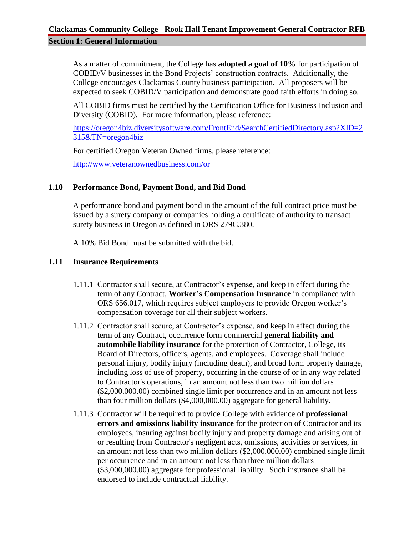As a matter of commitment, the College has **adopted a goal of 10%** for participation of COBID/V businesses in the Bond Projects' construction contracts. Additionally, the College encourages Clackamas County business participation. All proposers will be expected to seek COBID/V participation and demonstrate good faith efforts in doing so.

All COBID firms must be certified by the Certification Office for Business Inclusion and Diversity (COBID). For more information, please reference:

[https://oregon4biz.diversitysoftware.com/FrontEnd/SearchCertifiedDirectory.asp?XID=2](https://oregon4biz.diversitysoftware.com/FrontEnd/SearchCertifiedDirectory.asp?XID=2315&TN=oregon4biz) [315&TN=oregon4biz](https://oregon4biz.diversitysoftware.com/FrontEnd/SearchCertifiedDirectory.asp?XID=2315&TN=oregon4biz)

For certified Oregon Veteran Owned firms, please reference:

<http://www.veteranownedbusiness.com/or>

### **1.10 Performance Bond, Payment Bond, and Bid Bond**

A performance bond and payment bond in the amount of the full contract price must be issued by a surety company or companies holding a certificate of authority to transact surety business in Oregon as defined in ORS 279C.380.

A 10% Bid Bond must be submitted with the bid.

### **1.11 Insurance Requirements**

- 1.11.1 Contractor shall secure, at Contractor's expense, and keep in effect during the term of any Contract, **Worker's Compensation Insurance** in compliance with ORS 656.017, which requires subject employers to provide Oregon worker's compensation coverage for all their subject workers.
- 1.11.2 Contractor shall secure, at Contractor's expense, and keep in effect during the term of any Contract, occurrence form commercial **general liability and automobile liability insurance** for the protection of Contractor, College, its Board of Directors, officers, agents, and employees. Coverage shall include personal injury, bodily injury (including death), and broad form property damage, including loss of use of property, occurring in the course of or in any way related to Contractor's operations, in an amount not less than two million dollars (\$2,000.000.00) combined single limit per occurrence and in an amount not less than four million dollars (\$4,000,000.00) aggregate for general liability.
- 1.11.3 Contractor will be required to provide College with evidence of **professional errors and omissions liability insurance** for the protection of Contractor and its employees, insuring against bodily injury and property damage and arising out of or resulting from Contractor's negligent acts, omissions, activities or services, in an amount not less than two million dollars (\$2,000,000.00) combined single limit per occurrence and in an amount not less than three million dollars (\$3,000,000.00) aggregate for professional liability. Such insurance shall be endorsed to include contractual liability.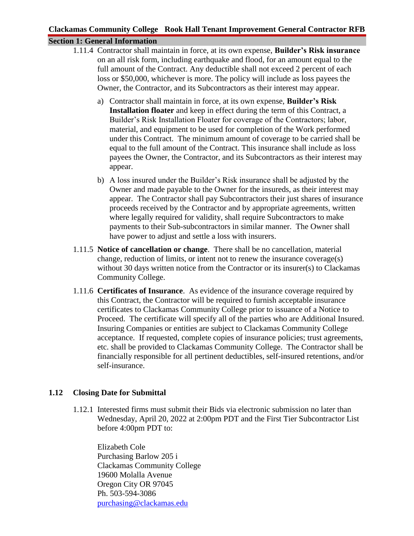# **Clackamas Community College Rook Hall Tenant Improvement General Contractor RFB**

## **Section 1: General Information**

- 1.11.4 Contractor shall maintain in force, at its own expense, **Builder's Risk insurance** on an all risk form, including earthquake and flood, for an amount equal to the full amount of the Contract. Any deductible shall not exceed 2 percent of each loss or \$50,000, whichever is more. The policy will include as loss payees the Owner, the Contractor, and its Subcontractors as their interest may appear.
	- a) Contractor shall maintain in force, at its own expense, **Builder's Risk Installation floater** and keep in effect during the term of this Contract, a Builder's Risk Installation Floater for coverage of the Contractors; labor, material, and equipment to be used for completion of the Work performed under this Contract. The minimum amount of coverage to be carried shall be equal to the full amount of the Contract. This insurance shall include as loss payees the Owner, the Contractor, and its Subcontractors as their interest may appear.
	- b) A loss insured under the Builder's Risk insurance shall be adjusted by the Owner and made payable to the Owner for the insureds, as their interest may appear. The Contractor shall pay Subcontractors their just shares of insurance proceeds received by the Contractor and by appropriate agreements, written where legally required for validity, shall require Subcontractors to make payments to their Sub-subcontractors in similar manner. The Owner shall have power to adjust and settle a loss with insurers.
- 1.11.5 **Notice of cancellation or change**. There shall be no cancellation, material change, reduction of limits, or intent not to renew the insurance coverage(s) without 30 days written notice from the Contractor or its insurer(s) to Clackamas Community College.
- 1.11.6 **Certificates of Insurance**. As evidence of the insurance coverage required by this Contract, the Contractor will be required to furnish acceptable insurance certificates to Clackamas Community College prior to issuance of a Notice to Proceed. The certificate will specify all of the parties who are Additional Insured. Insuring Companies or entities are subject to Clackamas Community College acceptance. If requested, complete copies of insurance policies; trust agreements, etc. shall be provided to Clackamas Community College. The Contractor shall be financially responsible for all pertinent deductibles, self-insured retentions, and/or self-insurance.

# **1.12 Closing Date for Submittal**

1.12.1 Interested firms must submit their Bids via electronic submission no later than Wednesday, April 20, 2022 at 2:00pm PDT and the First Tier Subcontractor List before 4:00pm PDT to:

Elizabeth Cole Purchasing Barlow 205 i Clackamas Community College 19600 Molalla Avenue Oregon City OR 97045 Ph. 503-594-3086 [purchasing@clackamas.edu](mailto:purchasing@clackamas.edu)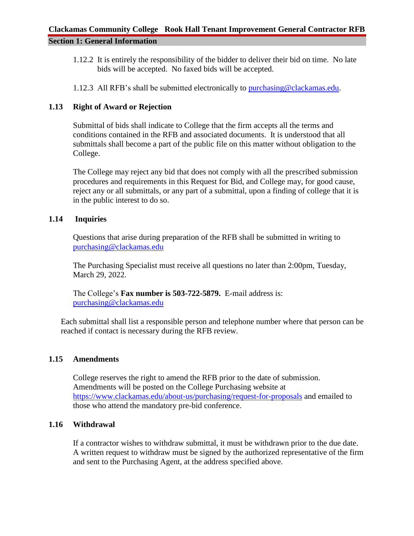- 1.12.2 It is entirely the responsibility of the bidder to deliver their bid on time. No late bids will be accepted. No faxed bids will be accepted.
- 1.12.3 All RFB's shall be submitted electronically to [purchasing@clackamas.edu.](mailto:purchasing@clackamas.edu)

## **1.13 Right of Award or Rejection**

Submittal of bids shall indicate to College that the firm accepts all the terms and conditions contained in the RFB and associated documents. It is understood that all submittals shall become a part of the public file on this matter without obligation to the College.

The College may reject any bid that does not comply with all the prescribed submission procedures and requirements in this Request for Bid, and College may, for good cause, reject any or all submittals, or any part of a submittal, upon a finding of college that it is in the public interest to do so.

## **1.14 Inquiries**

Questions that arise during preparation of the RFB shall be submitted in writing to [purchasing@clackamas.edu](mailto:elizabethc@clackamas.edu)

The Purchasing Specialist must receive all questions no later than 2:00pm, Tuesday, March 29, 2022.

The College's **Fax number is 503-722-5879.** E-mail address is: [purchasing@clackamas.edu](mailto:elizabethc@clackamas.edu)

Each submittal shall list a responsible person and telephone number where that person can be reached if contact is necessary during the RFB review.

## **1.15 Amendments**

College reserves the right to amend the RFB prior to the date of submission. Amendments will be posted on the College Purchasing website at <https://www.clackamas.edu/about-us/purchasing/request-for-proposals> and emailed to those who attend the mandatory pre-bid conference.

## **1.16 Withdrawal**

If a contractor wishes to withdraw submittal, it must be withdrawn prior to the due date. A written request to withdraw must be signed by the authorized representative of the firm and sent to the Purchasing Agent, at the address specified above.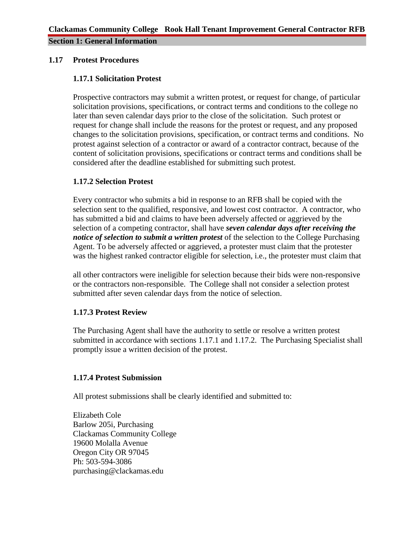## **1.17 Protest Procedures**

## **1.17.1 Solicitation Protest**

Prospective contractors may submit a written protest, or request for change, of particular solicitation provisions, specifications, or contract terms and conditions to the college no later than seven calendar days prior to the close of the solicitation. Such protest or request for change shall include the reasons for the protest or request, and any proposed changes to the solicitation provisions, specification, or contract terms and conditions. No protest against selection of a contractor or award of a contractor contract, because of the content of solicitation provisions, specifications or contract terms and conditions shall be considered after the deadline established for submitting such protest.

## **1.17.2 Selection Protest**

Every contractor who submits a bid in response to an RFB shall be copied with the selection sent to the qualified, responsive, and lowest cost contractor. A contractor, who has submitted a bid and claims to have been adversely affected or aggrieved by the selection of a competing contractor, shall have *seven calendar days after receiving the notice of selection to submit a written protest* of the selection to the College Purchasing Agent. To be adversely affected or aggrieved, a protester must claim that the protester was the highest ranked contractor eligible for selection, i.e., the protester must claim that

all other contractors were ineligible for selection because their bids were non-responsive or the contractors non-responsible. The College shall not consider a selection protest submitted after seven calendar days from the notice of selection.

### **1.17.3 Protest Review**

The Purchasing Agent shall have the authority to settle or resolve a written protest submitted in accordance with sections 1.17.1 and 1.17.2. The Purchasing Specialist shall promptly issue a written decision of the protest.

### **1.17.4 Protest Submission**

All protest submissions shall be clearly identified and submitted to:

Elizabeth Cole Barlow 205i, Purchasing Clackamas Community College 19600 Molalla Avenue Oregon City OR 97045 Ph: 503-594-3086 purchasing@clackamas.edu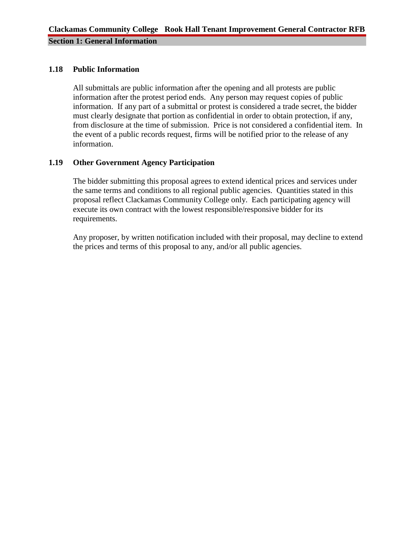## **1.18 Public Information**

All submittals are public information after the opening and all protests are public information after the protest period ends. Any person may request copies of public information. If any part of a submittal or protest is considered a trade secret, the bidder must clearly designate that portion as confidential in order to obtain protection, if any, from disclosure at the time of submission. Price is not considered a confidential item. In the event of a public records request, firms will be notified prior to the release of any information.

## **1.19 Other Government Agency Participation**

The bidder submitting this proposal agrees to extend identical prices and services under the same terms and conditions to all regional public agencies. Quantities stated in this proposal reflect Clackamas Community College only. Each participating agency will execute its own contract with the lowest responsible/responsive bidder for its requirements.

Any proposer, by written notification included with their proposal, may decline to extend the prices and terms of this proposal to any, and/or all public agencies.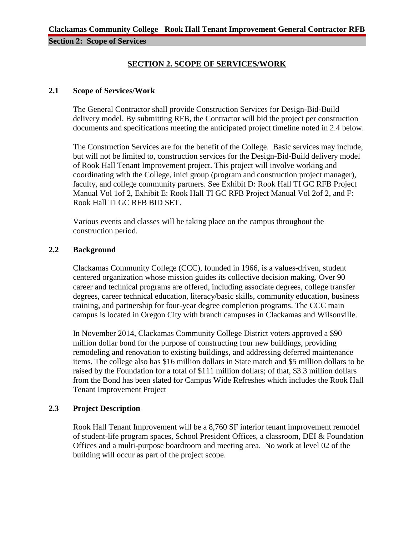## **SECTION 2. SCOPE OF SERVICES/WORK**

## **2.1 Scope of Services/Work**

The General Contractor shall provide Construction Services for Design-Bid-Build delivery model. By submitting RFB, the Contractor will bid the project per construction documents and specifications meeting the anticipated project timeline noted in 2.4 below.

The Construction Services are for the benefit of the College. Basic services may include, but will not be limited to, construction services for the Design-Bid-Build delivery model of Rook Hall Tenant Improvement project. This project will involve working and coordinating with the College, inici group (program and construction project manager), faculty, and college community partners. See Exhibit D: Rook Hall TI GC RFB Project Manual Vol 1of 2, Exhibit E: Rook Hall TI GC RFB Project Manual Vol 2of 2, and F: Rook Hall TI GC RFB BID SET.

Various events and classes will be taking place on the campus throughout the construction period.

### **2.2 Background**

Clackamas Community College (CCC), founded in 1966, is a values-driven, student centered organization whose mission guides its collective decision making. Over 90 career and technical programs are offered, including associate degrees, college transfer degrees, career technical education, literacy/basic skills, community education, business training, and partnership for four-year degree completion programs. The CCC main campus is located in Oregon City with branch campuses in Clackamas and Wilsonville.

In November 2014, Clackamas Community College District voters approved a \$90 million dollar bond for the purpose of constructing four new buildings, providing remodeling and renovation to existing buildings, and addressing deferred maintenance items. The college also has \$16 million dollars in State match and \$5 million dollars to be raised by the Foundation for a total of \$111 million dollars; of that, \$3.3 million dollars from the Bond has been slated for Campus Wide Refreshes which includes the Rook Hall Tenant Improvement Project

### **2.3 Project Description**

Rook Hall Tenant Improvement will be a 8,760 SF interior tenant improvement remodel of student-life program spaces, School President Offices, a classroom, DEI & Foundation Offices and a multi-purpose boardroom and meeting area. No work at level 02 of the building will occur as part of the project scope.